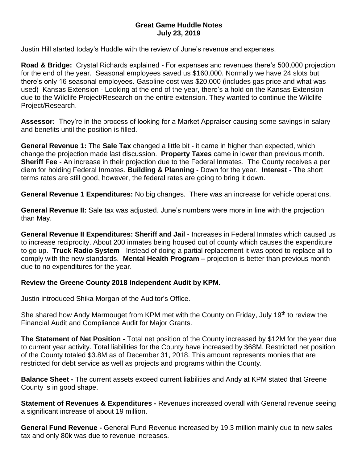## **Great Game Huddle Notes July 23, 2019**

Justin Hill started today's Huddle with the review of June's revenue and expenses.

**Road & Bridge:** Crystal Richards explained - For expenses and revenues there's 500,000 projection for the end of the year. Seasonal employees saved us \$160,000. Normally we have 24 slots but there's only 16 seasonal employees. Gasoline cost was \$20,000 (includes gas price and what was used) Kansas Extension - Looking at the end of the year, there's a hold on the Kansas Extension due to the Wildlife Project/Research on the entire extension. They wanted to continue the Wildlife Project/Research.

**Assessor:** They're in the process of looking for a Market Appraiser causing some savings in salary and benefits until the position is filled.

**General Revenue 1:** The **Sale Tax** changed a little bit - it came in higher than expected, which change the projection made last discussion. **Property Taxes** came in lower than previous month. **Sheriff Fee** - An increase in their projection due to the Federal Inmates. The County receives a per diem for holding Federal Inmates. **Building & Planning** - Down for the year. **Interest** - The short terms rates are still good, however, the federal rates are going to bring it down.

**General Revenue 1 Expenditures:** No big changes. There was an increase for vehicle operations.

**General Revenue II:** Sale tax was adjusted. June's numbers were more in line with the projection than May.

**General Revenue II Expenditures: Sheriff and Jail** - Increases in Federal Inmates which caused us to increase reciprocity. About 200 inmates being housed out of county which causes the expenditure to go up. **Truck Radio System** - Instead of doing a partial replacement it was opted to replace all to comply with the new standards. **Mental Health Program –** projection is better than previous month due to no expenditures for the year.

## **Review the Greene County 2018 Independent Audit by KPM.**

Justin introduced Shika Morgan of the Auditor's Office.

She shared how Andy Marmouget from KPM met with the County on Friday, July 19<sup>th</sup> to review the Financial Audit and Compliance Audit for Major Grants.

**The Statement of Net Position -** Total net position of the County increased by \$12M for the year due to current year activity. Total liabilities for the County have increased by \$68M. Restricted net position of the County totaled \$3.8M as of December 31, 2018. This amount represents monies that are restricted for debt service as well as projects and programs within the County.

**Balance Sheet -** The current assets exceed current liabilities and Andy at KPM stated that Greene County is in good shape.

**Statement of Revenues & Expenditures -** Revenues increased overall with General revenue seeing a significant increase of about 19 million.

**General Fund Revenue -** General Fund Revenue increased by 19.3 million mainly due to new sales tax and only 80k was due to revenue increases.